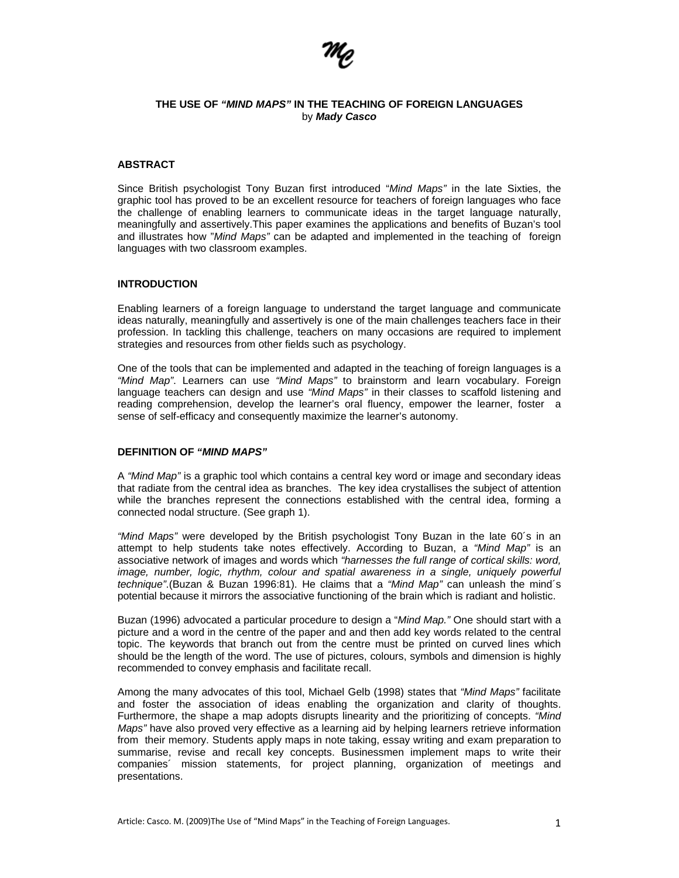

# **THE USE OF** *"MIND MAPS"* **IN THE TEACHING OF FOREIGN LANGUAGES**  by *Mady Casco*

# **ABSTRACT**

Since British psychologist Tony Buzan first introduced "*Mind Maps"* in the late Sixties, the graphic tool has proved to be an excellent resource for teachers of foreign languages who face the challenge of enabling learners to communicate ideas in the target language naturally, meaningfully and assertively.This paper examines the applications and benefits of Buzan's tool and illustrates how "*Mind Maps"* can be adapted and implemented in the teaching of foreign languages with two classroom examples.

# **INTRODUCTION**

Enabling learners of a foreign language to understand the target language and communicate ideas naturally, meaningfully and assertively is one of the main challenges teachers face in their profession. In tackling this challenge, teachers on many occasions are required to implement strategies and resources from other fields such as psychology.

One of the tools that can be implemented and adapted in the teaching of foreign languages is a *"Mind Map"*. Learners can use *"Mind Maps"* to brainstorm and learn vocabulary. Foreign language teachers can design and use *"Mind Maps"* in their classes to scaffold listening and reading comprehension, develop the learner's oral fluency, empower the learner, foster a sense of self-efficacy and consequently maximize the learner's autonomy.

# **DEFINITION OF** *"MIND MAPS"*

A *"Mind Map"* is a graphic tool which contains a central key word or image and secondary ideas that radiate from the central idea as branches. The key idea crystallises the subject of attention while the branches represent the connections established with the central idea, forming a connected nodal structure. (See graph 1).

*"Mind Maps"* were developed by the British psychologist Tony Buzan in the late 60´s in an attempt to help students take notes effectively. According to Buzan, a *"Mind Map"* is an associative network of images and words which *"harnesses the full range of cortical skills: word, image, number, logic, rhythm, colour and spatial awareness in a single, uniquely powerful technique"*.(Buzan & Buzan 1996:81). He claims that a *"Mind Map"* can unleash the mind´s potential because it mirrors the associative functioning of the brain which is radiant and holistic.

Buzan (1996) advocated a particular procedure to design a "*Mind Map."* One should start with a picture and a word in the centre of the paper and and then add key words related to the central topic. The keywords that branch out from the centre must be printed on curved lines which should be the length of the word. The use of pictures, colours, symbols and dimension is highly recommended to convey emphasis and facilitate recall.

Among the many advocates of this tool, Michael Gelb (1998) states that *"Mind Maps"* facilitate and foster the association of ideas enabling the organization and clarity of thoughts. Furthermore, the shape a map adopts disrupts linearity and the prioritizing of concepts. *"Mind Maps"* have also proved very effective as a learning aid by helping learners retrieve information from their memory. Students apply maps in note taking, essay writing and exam preparation to summarise, revise and recall key concepts. Businessmen implement maps to write their companies´ mission statements, for project planning, organization of meetings and presentations.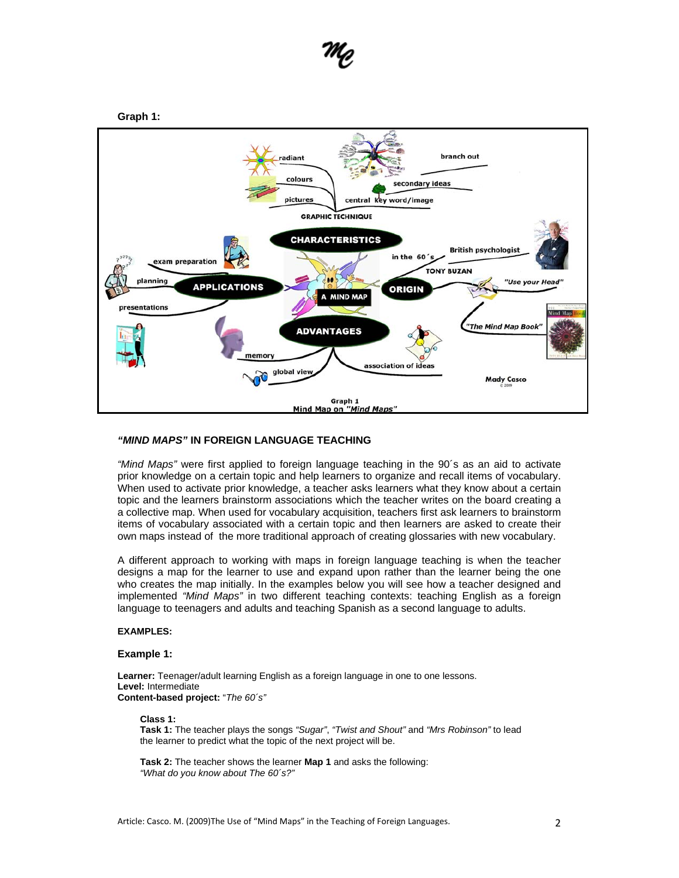

# **Graph 1:**



# *"MIND MAPS"* **IN FOREIGN LANGUAGE TEACHING**

*"Mind Maps"* were first applied to foreign language teaching in the 90´s as an aid to activate prior knowledge on a certain topic and help learners to organize and recall items of vocabulary. When used to activate prior knowledge, a teacher asks learners what they know about a certain topic and the learners brainstorm associations which the teacher writes on the board creating a a collective map. When used for vocabulary acquisition, teachers first ask learners to brainstorm items of vocabulary associated with a certain topic and then learners are asked to create their own maps instead of the more traditional approach of creating glossaries with new vocabulary.

A different approach to working with maps in foreign language teaching is when the teacher designs a map for the learner to use and expand upon rather than the learner being the one who creates the map initially. In the examples below you will see how a teacher designed and implemented *"Mind Maps"* in two different teaching contexts: teaching English as a foreign language to teenagers and adults and teaching Spanish as a second language to adults.

# **EXAMPLES:**

# **Example 1:**

Learner: Teenager/adult learning English as a foreign language in one to one lessons. **Level:** Intermediate **Content-based project:** "*The 60´s"*

# **Class 1:**

**Task 1:** The teacher plays the songs *"Sugar"*, *"Twist and Shout"* and *"Mrs Robinson"* to lead the learner to predict what the topic of the next project will be.

**Task 2:** The teacher shows the learner **Map 1** and asks the following: *"What do you know about The 60´s?"*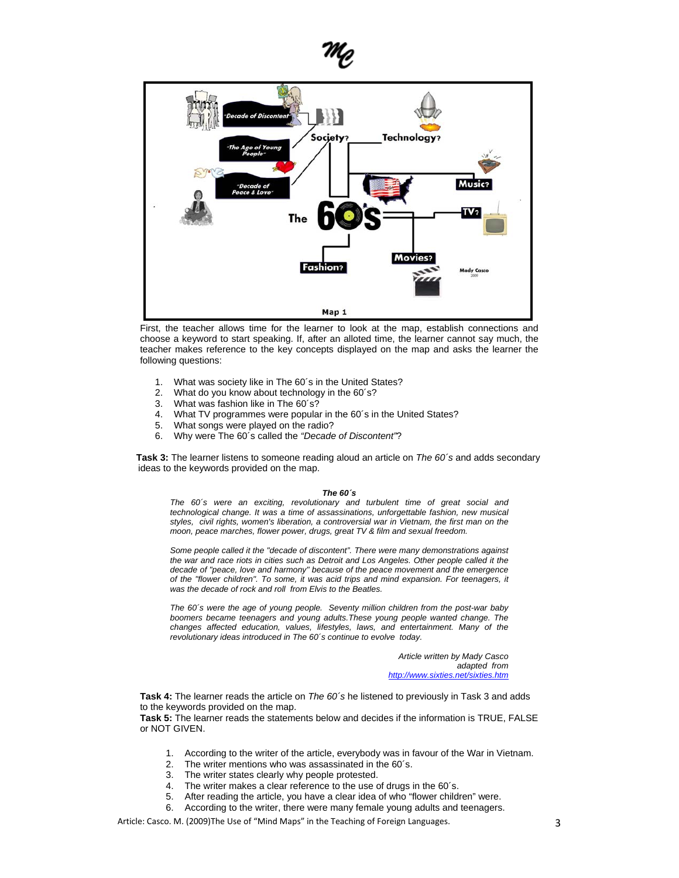



First, the teacher allows time for the learner to look at the map, establish connections and choose a keyword to start speaking. If, after an alloted time, the learner cannot say much, the teacher makes reference to the key concepts displayed on the map and asks the learner the following questions:

- 1. What was society like in The 60´s in the United States?
- 2. What do you know about technology in the 60's?<br>3. What was fashion like in The 60's?
- 3. What was fashion like in The 60's?<br>4. What TV programmes were popula
- What TV programmes were popular in the 60's in the United States?
- 5. What songs were played on the radio?
- 6. Why were The 60´s called the *"Decade of Discontent"*?

**Task 3:** The learner listens to someone reading aloud an article on *The 60´s* and adds secondary ideas to the keywords provided on the map.

#### *The 60´s*

*The 60´s were an exciting, revolutionary and turbulent time of great social and technological change. It was a time of assassinations, unforgettable fashion, new musical styles, civil rights, women's liberation, a controversial war in Vietnam, the first man on the moon, peace marches, flower power, drugs, great TV & film and sexual freedom.* 

*Some people called it the "decade of discontent". There were many demonstrations against the war and race riots in cities such as Detroit and Los Angeles. Other people called it the decade of "peace, love and harmony" because of the peace movement and the emergence of the "flower children". To some, it was acid trips and mind expansion. For teenagers, it was the decade of rock and roll from Elvis to the Beatles.* 

*The 60´s were the age of young people. Seventy million children from the post-war baby boomers became teenagers and young adults.These young people wanted change. The changes affected education, values, lifestyles, laws, and entertainment. Many of the revolutionary ideas introduced in The 60´s continue to evolve today.* 

> *Article written by Mady Casco adapted from http://www.sixties.net/sixties.htm*

**Task 4:** The learner reads the article on *The 60´s* he listened to previously in Task 3 and adds to the keywords provided on the map.

**Task 5:** The learner reads the statements below and decides if the information is TRUE, FALSE or NOT GIVEN.

- 1. According to the writer of the article, everybody was in favour of the War in Vietnam.
- 2. The writer mentions who was assassinated in the 60´s.
- 3. The writer states clearly why people protested.
- 4. The writer makes a clear reference to the use of drugs in the 60's.<br>5. After reading the article, you have a clear idea of who "flower childi
- 5. After reading the article, you have a clear idea of who "flower children" were.
- 6. According to the writer, there were many female young adults and teenagers.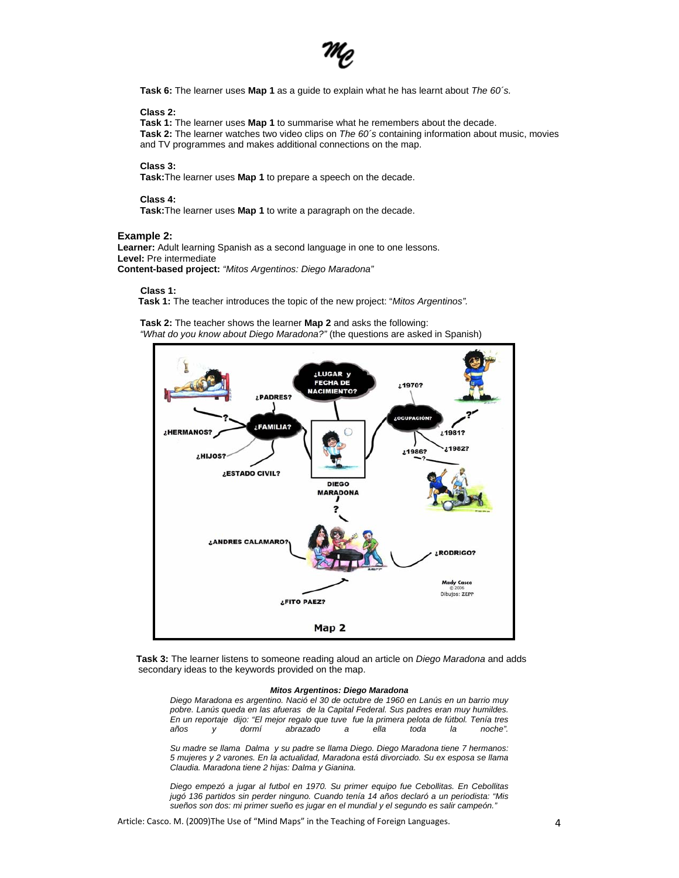

**Task 6:** The learner uses **Map 1** as a guide to explain what he has learnt about *The 60´s.*

#### **Class 2:**

**Task 1:** The learner uses **Map 1** to summarise what he remembers about the decade. **Task 2:** The learner watches two video clips on *The 60´s* containing information about music, movies and TV programmes and makes additional connections on the map.

### **Class 3:**

**Task:**The learner uses **Map 1** to prepare a speech on the decade.

### **Class 4:**

**Task:**The learner uses **Map 1** to write a paragraph on the decade.

## **Example 2:**

**Learner:** Adult learning Spanish as a second language in one to one lessons. **Level:** Pre intermediate **Content-based project:** *"Mitos Argentinos: Diego Maradona"*

#### **Class 1:**

 **Task 1:** The teacher introduces the topic of the new project: "*Mitos Argentinos".* 

**Task 2:** The teacher shows the learner **Map 2** and asks the following: *"What do you know about Diego Maradona?"* (the questions are asked in Spanish)



**Task 3:** The learner listens to someone reading aloud an article on *Diego Maradona* and adds secondary ideas to the keywords provided on the map.

#### *Mitos Argentinos: Diego Maradona*

*Diego Maradona es argentino. Nació el 30 de octubre de 1960 en Lanús en un barrio muy pobre. Lanús queda en las afueras de la Capital Federal. Sus padres eran muy humildes. En un reportaje dijo: "El mejor regalo que tuve fue la primera pelota de fútbol. Tenía tres años y dormí abrazado a ella toda la noche".* 

*Su madre se llama Dalma y su padre se llama Diego. Diego Maradona tiene 7 hermanos: 5 mujeres y 2 varones. En la actualidad, Maradona está divorciado. Su ex esposa se llama Claudia. Maradona tiene 2 hijas: Dalma y Gianina.* 

*Diego empezó a jugar al futbol en 1970. Su primer equipo fue Cebollitas. En Cebollitas jugó 136 partidos sin perder ninguno. Cuando tenía 14 años declaró a un periodista: "Mis sueños son dos: mi primer sueño es jugar en el mundial y el segundo es salir campeón."*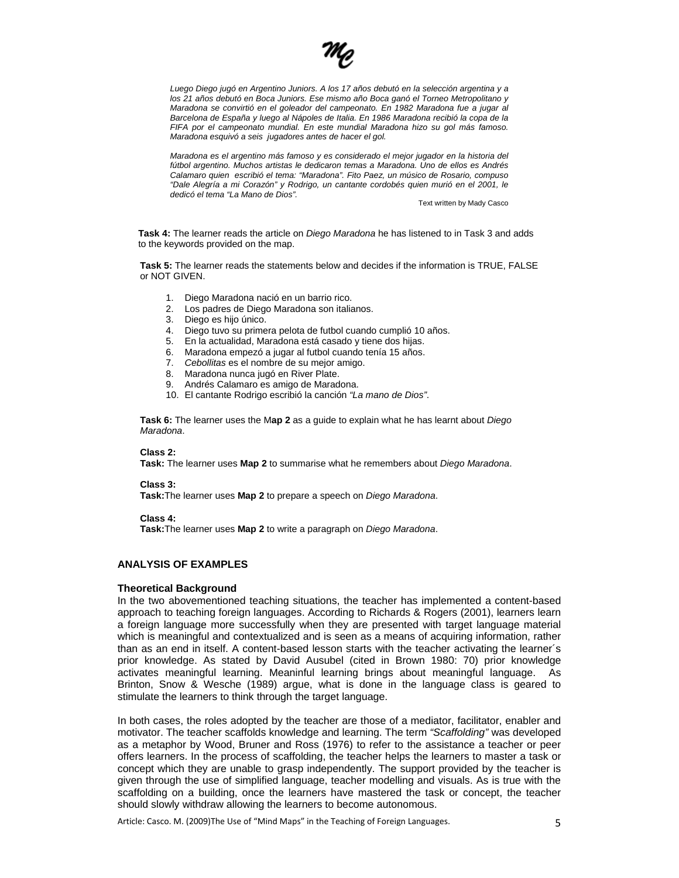

*Luego Diego jugó en Argentino Juniors. A los 17 años debutó en la selección argentina y a los 21 años debutó en Boca Juniors. Ese mismo año Boca ganó el Torneo Metropolitano y Maradona se convirtió en el goleador del campeonato. En 1982 Maradona fue a jugar al Barcelona de España y luego al Nápoles de Italia. En 1986 Maradona recibió la copa de la FIFA por el campeonato mundial. En este mundial Maradona hizo su gol más famoso. Maradona esquivó a seis jugadores antes de hacer el gol.* 

*Maradona es el argentino más famoso y es considerado el mejor jugador en la historia del fútbol argentino. Muchos artistas le dedicaron temas a Maradona. Uno de ellos es Andrés Calamaro quien escribió el tema: "Maradona". Fito Paez, un músico de Rosario, compuso "Dale Alegría a mi Corazón" y Rodrigo, un cantante cordobés quien murió en el 2001, le dedicó el tema "La Mano de Dios".* 

Text written by Mady Casco

**Task 4:** The learner reads the article on *Diego Maradona* he has listened to in Task 3 and adds to the keywords provided on the map.

**Task 5:** The learner reads the statements below and decides if the information is TRUE, FALSE or NOT GIVEN.

- 1. Diego Maradona nació en un barrio rico.
- 2. Los padres de Diego Maradona son italianos.
- 3. Diego es hijo único.
- 4. Diego tuvo su primera pelota de futbol cuando cumplió 10 años.
- 5. En la actualidad, Maradona está casado y tiene dos hijas.
- 6. Maradona empezó a jugar al futbol cuando tenía 15 años.
- 7. *Cebollitas* es el nombre de su mejor amigo.
- 8. Maradona nunca jugó en River Plate.
- 9. Andrés Calamaro es amigo de Maradona.
- 10. El cantante Rodrigo escribió la canción *"La mano de Dios"*.

**Task 6:** The learner uses the M**ap 2** as a guide to explain what he has learnt about *Diego Maradona*.

# **Class 2:**

**Task:** The learner uses **Map 2** to summarise what he remembers about *Diego Maradona*.

# **Class 3:**

**Task:**The learner uses **Map 2** to prepare a speech on *Diego Maradona*.

#### **Class 4:**

**Task:**The learner uses **Map 2** to write a paragraph on *Diego Maradona*.

# **ANALYSIS OF EXAMPLES**

# **Theoretical Background**

In the two abovementioned teaching situations, the teacher has implemented a content-based approach to teaching foreign languages. According to Richards & Rogers (2001), learners learn a foreign language more successfully when they are presented with target language material which is meaningful and contextualized and is seen as a means of acquiring information, rather than as an end in itself. A content-based lesson starts with the teacher activating the learner´s prior knowledge. As stated by David Ausubel (cited in Brown 1980: 70) prior knowledge activates meaningful learning. Meaninful learning brings about meaningful language. As Brinton, Snow & Wesche (1989) argue, what is done in the language class is geared to stimulate the learners to think through the target language.

In both cases, the roles adopted by the teacher are those of a mediator, facilitator, enabler and motivator. The teacher scaffolds knowledge and learning. The term *"Scaffolding"* was developed as a metaphor by Wood, Bruner and Ross (1976) to refer to the assistance a teacher or peer offers learners. In the process of scaffolding, the teacher helps the learners to master a task or concept which they are unable to grasp independently. The support provided by the teacher is given through the use of simplified language, teacher modelling and visuals. As is true with the scaffolding on a building, once the learners have mastered the task or concept, the teacher should slowly withdraw allowing the learners to become autonomous.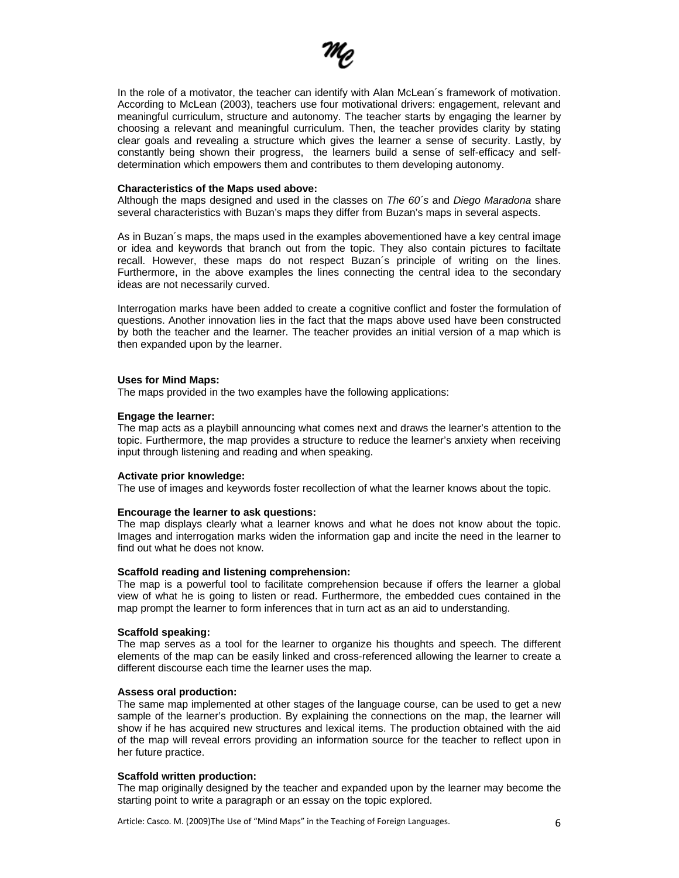

In the role of a motivator, the teacher can identify with Alan McLean´s framework of motivation. According to McLean (2003), teachers use four motivational drivers: engagement, relevant and meaningful curriculum, structure and autonomy. The teacher starts by engaging the learner by choosing a relevant and meaningful curriculum. Then, the teacher provides clarity by stating clear goals and revealing a structure which gives the learner a sense of security. Lastly, by constantly being shown their progress, the learners build a sense of self-efficacy and selfdetermination which empowers them and contributes to them developing autonomy.

# **Characteristics of the Maps used above:**

Although the maps designed and used in the classes on *The 60´s* and *Diego Maradona* share several characteristics with Buzan's maps they differ from Buzan's maps in several aspects.

As in Buzan´s maps, the maps used in the examples abovementioned have a key central image or idea and keywords that branch out from the topic. They also contain pictures to faciltate recall. However, these maps do not respect Buzan´s principle of writing on the lines. Furthermore, in the above examples the lines connecting the central idea to the secondary ideas are not necessarily curved.

Interrogation marks have been added to create a cognitive conflict and foster the formulation of questions. Another innovation lies in the fact that the maps above used have been constructed by both the teacher and the learner. The teacher provides an initial version of a map which is then expanded upon by the learner.

### **Uses for Mind Maps:**

The maps provided in the two examples have the following applications:

### **Engage the learner:**

The map acts as a playbill announcing what comes next and draws the learner's attention to the topic. Furthermore, the map provides a structure to reduce the learner's anxiety when receiving input through listening and reading and when speaking.

# **Activate prior knowledge:**

The use of images and keywords foster recollection of what the learner knows about the topic.

# **Encourage the learner to ask questions:**

The map displays clearly what a learner knows and what he does not know about the topic. Images and interrogation marks widen the information gap and incite the need in the learner to find out what he does not know.

### **Scaffold reading and listening comprehension:**

The map is a powerful tool to facilitate comprehension because if offers the learner a global view of what he is going to listen or read. Furthermore, the embedded cues contained in the map prompt the learner to form inferences that in turn act as an aid to understanding.

# **Scaffold speaking:**

The map serves as a tool for the learner to organize his thoughts and speech. The different elements of the map can be easily linked and cross-referenced allowing the learner to create a different discourse each time the learner uses the map.

# **Assess oral production:**

The same map implemented at other stages of the language course, can be used to get a new sample of the learner's production. By explaining the connections on the map, the learner will show if he has acquired new structures and lexical items. The production obtained with the aid of the map will reveal errors providing an information source for the teacher to reflect upon in her future practice.

# **Scaffold written production:**

The map originally designed by the teacher and expanded upon by the learner may become the starting point to write a paragraph or an essay on the topic explored.